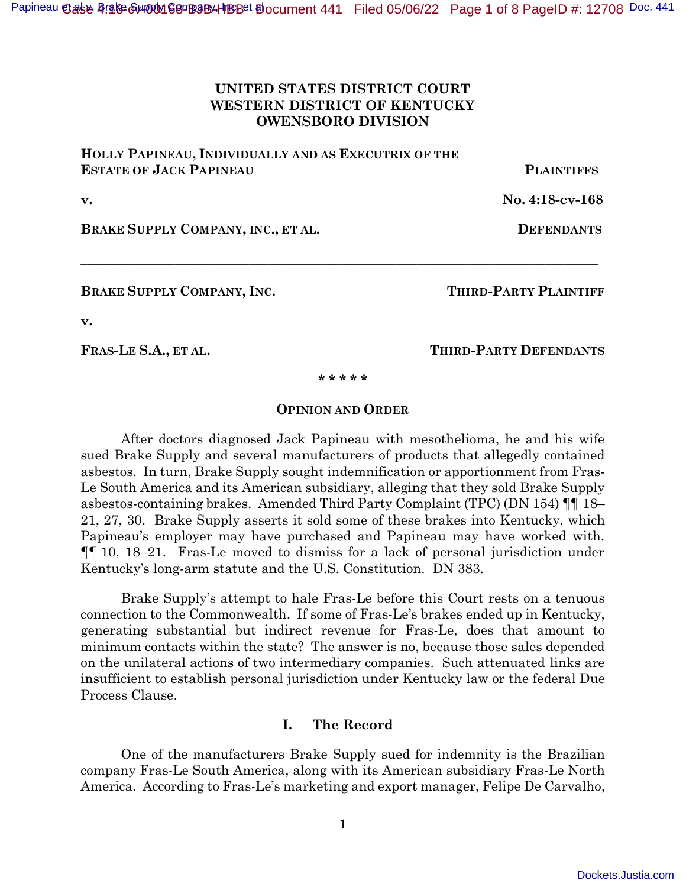## **UNITED STATES DISTRICT COURT WESTERN DISTRICT OF KENTUCKY OWENSBORO DIVISION**

**HOLLY PAPINEAU, INDIVIDUALLY AND AS EXECUTRIX OF THE ESTATE OF JACK PAPINEAU PLAINTIFFS**

**v. No. 4:18-cv-168** 

**BRAKE SUPPLY COMPANY, INC., ET AL. DEFENDANTS**

**BRAKE SUPPLY COMPANY, INC. THIRD-PARTY PLAINTIFF**

**v.** 

**FRAS-LE S.A., ET AL. THIRD-PARTY DEFENDANTS**

**\* \* \* \* \*** 

**\_\_\_\_\_\_\_\_\_\_\_\_\_\_\_\_\_\_\_\_\_\_\_\_\_\_\_\_\_\_\_\_\_\_\_\_\_\_\_\_\_\_\_\_\_\_\_\_\_\_\_\_\_\_\_\_\_\_\_\_\_\_\_\_\_\_\_\_\_\_\_\_\_\_\_\_\_** 

#### **OPINION AND ORDER**

After doctors diagnosed Jack Papineau with mesothelioma, he and his wife sued Brake Supply and several manufacturers of products that allegedly contained asbestos. In turn, Brake Supply sought indemnification or apportionment from Fras-Le South America and its American subsidiary, alleging that they sold Brake Supply asbestos-containing brakes. Amended Third Party Complaint (TPC) (DN 154) ¶¶ 18– 21, 27, 30. Brake Supply asserts it sold some of these brakes into Kentucky, which Papineau's employer may have purchased and Papineau may have worked with. ¶¶ 10, 18–21. Fras-Le moved to dismiss for a lack of personal jurisdiction under Kentucky's long-arm statute and the U.S. Constitution. DN 383.

Brake Supply's attempt to hale Fras-Le before this Court rests on a tenuous connection to the Commonwealth. If some of Fras-Le's brakes ended up in Kentucky, generating substantial but indirect revenue for Fras-Le, does that amount to minimum contacts within the state? The answer is no, because those sales depended on the unilateral actions of two intermediary companies. Such attenuated links are insufficient to establish personal jurisdiction under Kentucky law or the federal Due Process Clause.

## **I. The Record**

One of the manufacturers Brake Supply sued for indemnity is the Brazilian company Fras-Le South America, along with its American subsidiary Fras-Le North America. According to Fras-Le's marketing and export manager, Felipe De Carvalho,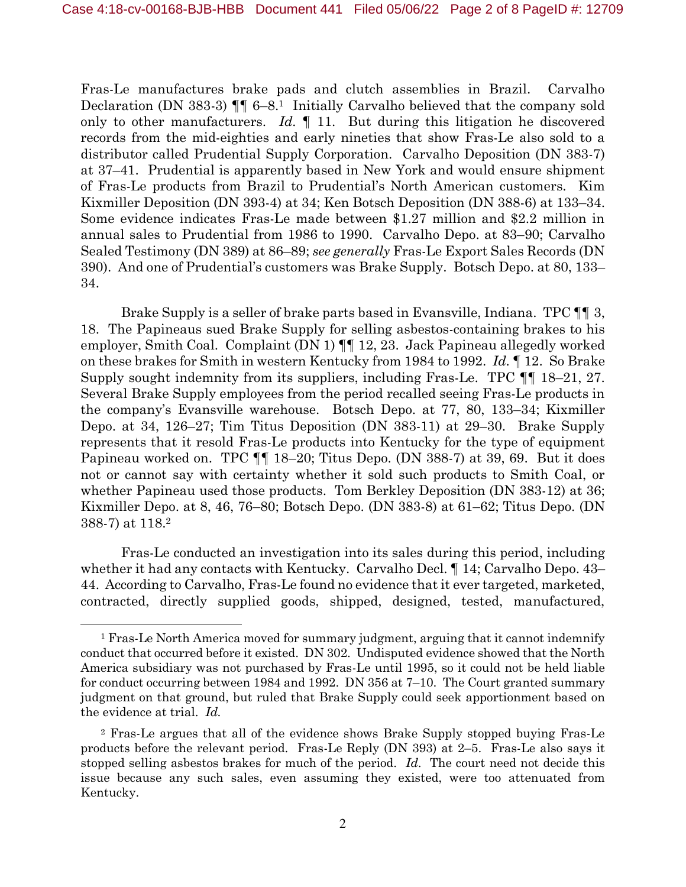Fras-Le manufactures brake pads and clutch assemblies in Brazil. Carvalho Declaration (DN 383-3) ¶¶ 6–8.1 Initially Carvalho believed that the company sold only to other manufacturers. *Id.* ¶ 11. But during this litigation he discovered records from the mid-eighties and early nineties that show Fras-Le also sold to a distributor called Prudential Supply Corporation. Carvalho Deposition (DN 383-7) at 37–41. Prudential is apparently based in New York and would ensure shipment of Fras-Le products from Brazil to Prudential's North American customers. Kim Kixmiller Deposition (DN 393-4) at 34; Ken Botsch Deposition (DN 388-6) at 133–34. Some evidence indicates Fras-Le made between \$1.27 million and \$2.2 million in annual sales to Prudential from 1986 to 1990. Carvalho Depo. at 83–90; Carvalho Sealed Testimony (DN 389) at 86–89; *see generally* Fras-Le Export Sales Records (DN 390). And one of Prudential's customers was Brake Supply. Botsch Depo. at 80, 133– 34.

Brake Supply is a seller of brake parts based in Evansville, Indiana. TPC ¶¶ 3, 18. The Papineaus sued Brake Supply for selling asbestos-containing brakes to his employer, Smith Coal. Complaint (DN 1) ¶¶ 12, 23. Jack Papineau allegedly worked on these brakes for Smith in western Kentucky from 1984 to 1992. *Id.* ¶ 12. So Brake Supply sought indemnity from its suppliers, including Fras-Le. TPC ¶¶ 18–21, 27. Several Brake Supply employees from the period recalled seeing Fras-Le products in the company's Evansville warehouse. Botsch Depo. at 77, 80, 133–34; Kixmiller Depo. at 34, 126–27; Tim Titus Deposition (DN 383-11) at 29–30. Brake Supply represents that it resold Fras-Le products into Kentucky for the type of equipment Papineau worked on. TPC ¶¶ 18–20; Titus Depo. (DN 388-7) at 39, 69. But it does not or cannot say with certainty whether it sold such products to Smith Coal, or whether Papineau used those products. Tom Berkley Deposition (DN 383-12) at 36; Kixmiller Depo. at 8, 46, 76–80; Botsch Depo. (DN 383-8) at 61–62; Titus Depo. (DN 388-7) at 118.<sup>2</sup>

Fras-Le conducted an investigation into its sales during this period, including whether it had any contacts with Kentucky. Carvalho Decl. ¶ 14; Carvalho Depo. 43– 44. According to Carvalho, Fras-Le found no evidence that it ever targeted, marketed, contracted, directly supplied goods, shipped, designed, tested, manufactured,

<sup>&</sup>lt;sup>1</sup> Fras-Le North America moved for summary judgment, arguing that it cannot indemnify conduct that occurred before it existed. DN 302. Undisputed evidence showed that the North America subsidiary was not purchased by Fras-Le until 1995, so it could not be held liable for conduct occurring between 1984 and 1992. DN 356 at 7–10. The Court granted summary judgment on that ground, but ruled that Brake Supply could seek apportionment based on the evidence at trial. *Id.*

<sup>2</sup> Fras-Le argues that all of the evidence shows Brake Supply stopped buying Fras-Le products before the relevant period. Fras-Le Reply (DN 393) at 2–5. Fras-Le also says it stopped selling asbestos brakes for much of the period. *Id*. The court need not decide this issue because any such sales, even assuming they existed, were too attenuated from Kentucky.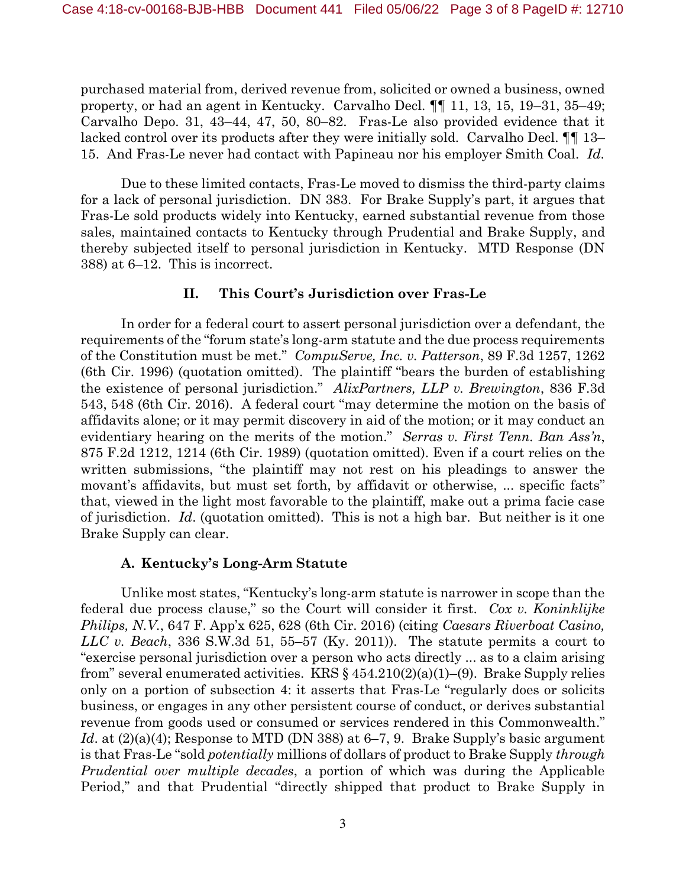purchased material from, derived revenue from, solicited or owned a business, owned property, or had an agent in Kentucky. Carvalho Decl. ¶¶ 11, 13, 15, 19–31, 35–49; Carvalho Depo. 31, 43–44, 47, 50, 80–82. Fras-Le also provided evidence that it lacked control over its products after they were initially sold. Carvalho Decl. ¶¶ 13– 15. And Fras-Le never had contact with Papineau nor his employer Smith Coal. *Id*.

Due to these limited contacts, Fras-Le moved to dismiss the third-party claims for a lack of personal jurisdiction. DN 383. For Brake Supply's part, it argues that Fras-Le sold products widely into Kentucky, earned substantial revenue from those sales, maintained contacts to Kentucky through Prudential and Brake Supply, and thereby subjected itself to personal jurisdiction in Kentucky. MTD Response (DN 388) at 6–12. This is incorrect.

## **II. This Court's Jurisdiction over Fras-Le**

In order for a federal court to assert personal jurisdiction over a defendant, the requirements of the "forum state's long-arm statute and the due process requirements of the Constitution must be met." *CompuServe, Inc. v. Patterson*, 89 F.3d 1257, 1262 (6th Cir. 1996) (quotation omitted). The plaintiff "bears the burden of establishing the existence of personal jurisdiction." *AlixPartners, LLP v. Brewington*, 836 F.3d 543, 548 (6th Cir. 2016). A federal court "may determine the motion on the basis of affidavits alone; or it may permit discovery in aid of the motion; or it may conduct an evidentiary hearing on the merits of the motion." *Serras v. First Tenn. Ban Ass'n*, 875 F.2d 1212, 1214 (6th Cir. 1989) (quotation omitted). Even if a court relies on the written submissions, "the plaintiff may not rest on his pleadings to answer the movant's affidavits, but must set forth, by affidavit or otherwise, ... specific facts" that, viewed in the light most favorable to the plaintiff, make out a prima facie case of jurisdiction. *Id*. (quotation omitted). This is not a high bar. But neither is it one Brake Supply can clear.

# **A. Kentucky's Long-Arm Statute**

Unlike most states, "Kentucky's long-arm statute is narrower in scope than the federal due process clause," so the Court will consider it first. *Cox v. Koninklijke Philips, N.V.*, 647 F. App'x 625, 628 (6th Cir. 2016) (citing *Caesars Riverboat Casino, LLC v. Beach*, 336 S.W.3d 51, 55–57 (Ky. 2011)). The statute permits a court to "exercise personal jurisdiction over a person who acts directly ... as to a claim arising from" several enumerated activities. KRS  $\S 454.210(2)(a)(1)$ –(9). Brake Supply relies only on a portion of subsection 4: it asserts that Fras-Le "regularly does or solicits business, or engages in any other persistent course of conduct, or derives substantial revenue from goods used or consumed or services rendered in this Commonwealth." *Id.* at  $(2)(a)(4)$ ; Response to MTD (DN 388) at 6–7, 9. Brake Supply's basic argument is that Fras-Le "sold *potentially* millions of dollars of product to Brake Supply *through Prudential over multiple decades*, a portion of which was during the Applicable Period," and that Prudential "directly shipped that product to Brake Supply in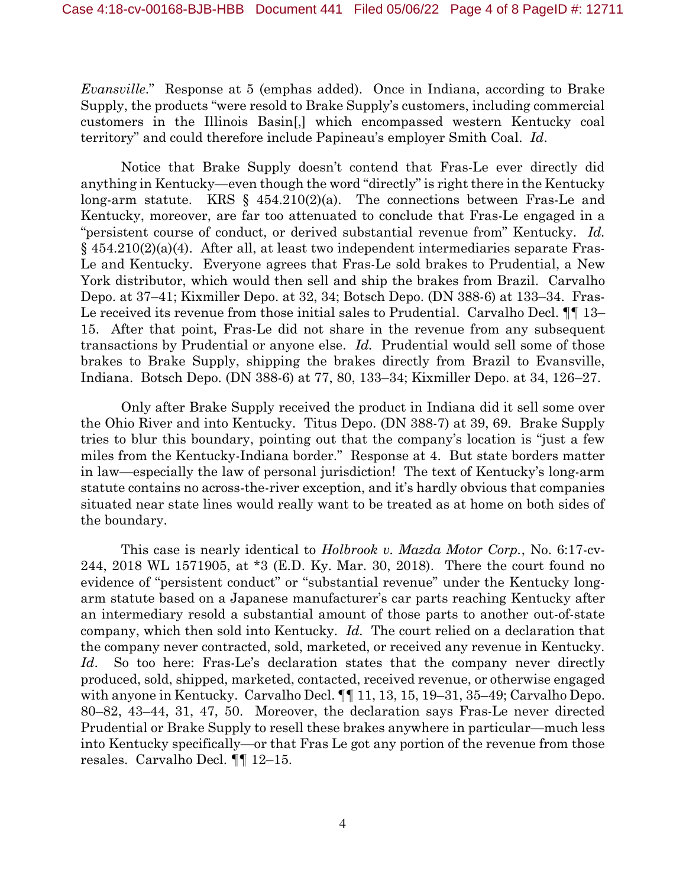*Evansville*." Response at 5 (emphas added). Once in Indiana, according to Brake Supply, the products "were resold to Brake Supply's customers, including commercial customers in the Illinois Basin[,] which encompassed western Kentucky coal territory" and could therefore include Papineau's employer Smith Coal. *Id*.

Notice that Brake Supply doesn't contend that Fras-Le ever directly did anything in Kentucky—even though the word "directly" is right there in the Kentucky long-arm statute. KRS  $\S$  454.210(2)(a). The connections between Fras-Le and Kentucky, moreover, are far too attenuated to conclude that Fras-Le engaged in a "persistent course of conduct, or derived substantial revenue from" Kentucky. *Id.*  $\S$  454.210(2)(a)(4). After all, at least two independent intermediaries separate Fras-Le and Kentucky. Everyone agrees that Fras-Le sold brakes to Prudential, a New York distributor, which would then sell and ship the brakes from Brazil. Carvalho Depo. at 37–41; Kixmiller Depo. at 32, 34; Botsch Depo. (DN 388-6) at 133–34. Fras-Le received its revenue from those initial sales to Prudential. Carvalho Decl. ¶¶ 13– 15. After that point, Fras-Le did not share in the revenue from any subsequent transactions by Prudential or anyone else. *Id.* Prudential would sell some of those brakes to Brake Supply, shipping the brakes directly from Brazil to Evansville, Indiana. Botsch Depo. (DN 388-6) at 77, 80, 133–34; Kixmiller Depo. at 34, 126–27.

Only after Brake Supply received the product in Indiana did it sell some over the Ohio River and into Kentucky. Titus Depo. (DN 388-7) at 39, 69. Brake Supply tries to blur this boundary, pointing out that the company's location is "just a few miles from the Kentucky-Indiana border." Response at 4. But state borders matter in law—especially the law of personal jurisdiction! The text of Kentucky's long-arm statute contains no across-the-river exception, and it's hardly obvious that companies situated near state lines would really want to be treated as at home on both sides of the boundary.

This case is nearly identical to *Holbrook v. Mazda Motor Corp.*, No. 6:17-cv-244, 2018 WL 1571905, at \*3 (E.D. Ky. Mar. 30, 2018). There the court found no evidence of "persistent conduct" or "substantial revenue" under the Kentucky longarm statute based on a Japanese manufacturer's car parts reaching Kentucky after an intermediary resold a substantial amount of those parts to another out-of-state company, which then sold into Kentucky. *Id.* The court relied on a declaration that the company never contracted, sold, marketed, or received any revenue in Kentucky. *Id*. So too here: Fras-Le's declaration states that the company never directly produced, sold, shipped, marketed, contacted, received revenue, or otherwise engaged with anyone in Kentucky. Carvalho Decl.  $\P\P$  11, 13, 15, 19-31, 35-49; Carvalho Depo. 80–82, 43–44, 31, 47, 50. Moreover, the declaration says Fras-Le never directed Prudential or Brake Supply to resell these brakes anywhere in particular—much less into Kentucky specifically—or that Fras Le got any portion of the revenue from those resales. Carvalho Decl. ¶¶ 12–15.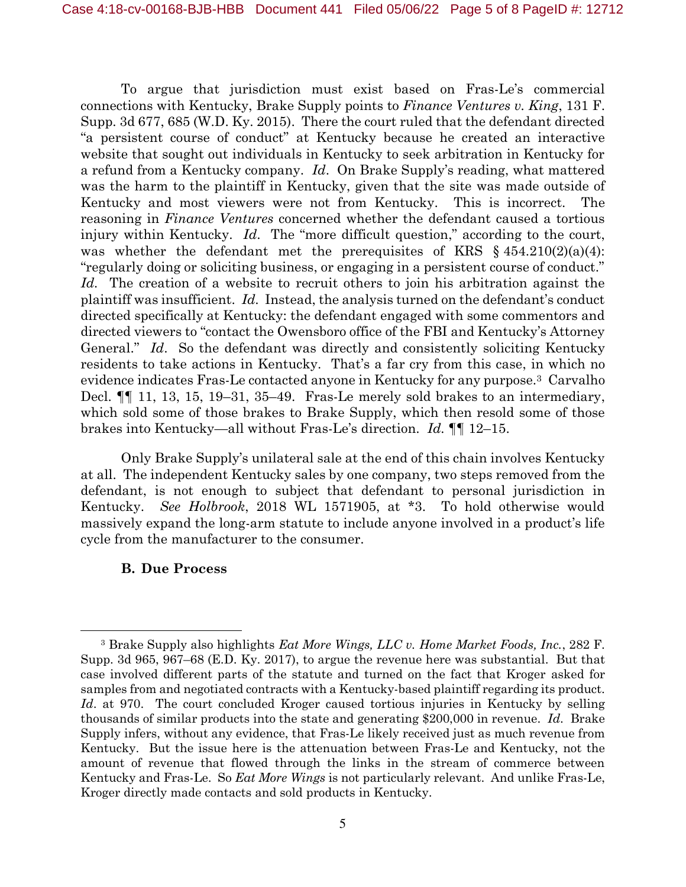To argue that jurisdiction must exist based on Fras-Le's commercial connections with Kentucky, Brake Supply points to *Finance Ventures v. King*, 131 F. Supp. 3d 677, 685 (W.D. Ky. 2015). There the court ruled that the defendant directed "a persistent course of conduct" at Kentucky because he created an interactive website that sought out individuals in Kentucky to seek arbitration in Kentucky for a refund from a Kentucky company. *Id*. On Brake Supply's reading, what mattered was the harm to the plaintiff in Kentucky, given that the site was made outside of Kentucky and most viewers were not from Kentucky. This is incorrect. The reasoning in *Finance Ventures* concerned whether the defendant caused a tortious injury within Kentucky. *Id*. The "more difficult question," according to the court, was whether the defendant met the prerequisites of KRS  $\S$  454.210(2)(a)(4): "regularly doing or soliciting business, or engaging in a persistent course of conduct." *Id.* The creation of a website to recruit others to join his arbitration against the plaintiff was insufficient. *Id*. Instead, the analysis turned on the defendant's conduct directed specifically at Kentucky: the defendant engaged with some commentors and directed viewers to "contact the Owensboro office of the FBI and Kentucky's Attorney General." *Id*. So the defendant was directly and consistently soliciting Kentucky residents to take actions in Kentucky. That's a far cry from this case, in which no evidence indicates Fras-Le contacted anyone in Kentucky for any purpose.3 Carvalho Decl. ¶¶ 11, 13, 15, 19–31, 35–49. Fras-Le merely sold brakes to an intermediary, which sold some of those brakes to Brake Supply, which then resold some of those brakes into Kentucky—all without Fras-Le's direction. *Id.* ¶¶ 12–15.

Only Brake Supply's unilateral sale at the end of this chain involves Kentucky at all. The independent Kentucky sales by one company, two steps removed from the defendant, is not enough to subject that defendant to personal jurisdiction in Kentucky. *See Holbrook*, 2018 WL 1571905, at \*3. To hold otherwise would massively expand the long-arm statute to include anyone involved in a product's life cycle from the manufacturer to the consumer.

#### **B. Due Process**

<sup>3</sup> Brake Supply also highlights *Eat More Wings, LLC v. Home Market Foods, Inc.*, 282 F. Supp. 3d 965, 967–68 (E.D. Ky. 2017), to argue the revenue here was substantial. But that case involved different parts of the statute and turned on the fact that Kroger asked for samples from and negotiated contracts with a Kentucky-based plaintiff regarding its product. *Id.* at 970. The court concluded Kroger caused tortious injuries in Kentucky by selling thousands of similar products into the state and generating \$200,000 in revenue. *Id*. Brake Supply infers, without any evidence, that Fras-Le likely received just as much revenue from Kentucky. But the issue here is the attenuation between Fras-Le and Kentucky, not the amount of revenue that flowed through the links in the stream of commerce between Kentucky and Fras-Le. So *Eat More Wings* is not particularly relevant. And unlike Fras-Le, Kroger directly made contacts and sold products in Kentucky.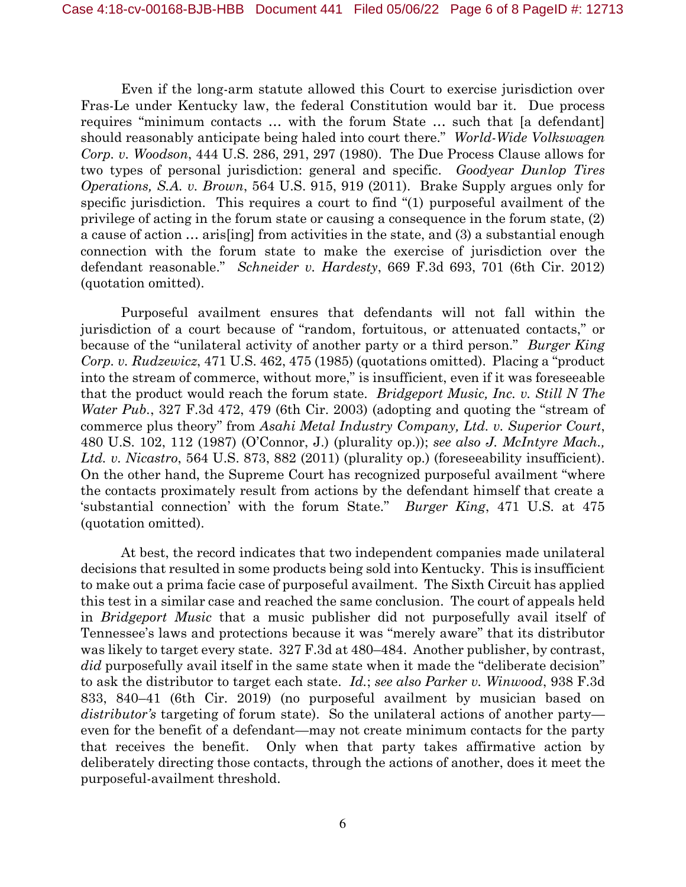Even if the long-arm statute allowed this Court to exercise jurisdiction over Fras-Le under Kentucky law, the federal Constitution would bar it. Due process requires "minimum contacts … with the forum State … such that [a defendant] should reasonably anticipate being haled into court there." *World-Wide Volkswagen Corp. v. Woodson*, 444 U.S. 286, 291, 297 (1980). The Due Process Clause allows for two types of personal jurisdiction: general and specific. *Goodyear Dunlop Tires Operations, S.A. v. Brown*, 564 U.S. 915, 919 (2011). Brake Supply argues only for specific jurisdiction. This requires a court to find "(1) purposeful availment of the privilege of acting in the forum state or causing a consequence in the forum state, (2) a cause of action … aris[ing] from activities in the state, and (3) a substantial enough connection with the forum state to make the exercise of jurisdiction over the defendant reasonable." *Schneider v. Hardesty*, 669 F.3d 693, 701 (6th Cir. 2012) (quotation omitted).

Purposeful availment ensures that defendants will not fall within the jurisdiction of a court because of "random, fortuitous, or attenuated contacts," or because of the "unilateral activity of another party or a third person." *Burger King Corp. v. Rudzewicz*, 471 U.S. 462, 475 (1985) (quotations omitted). Placing a "product into the stream of commerce, without more," is insufficient, even if it was foreseeable that the product would reach the forum state. *Bridgeport Music, Inc. v. Still N The Water Pub.*, 327 F.3d 472, 479 (6th Cir. 2003) (adopting and quoting the "stream of commerce plus theory" from *Asahi Metal Industry Company, Ltd. v. Superior Court*, 480 U.S. 102, 112 (1987) (O'Connor, J.) (plurality op.)); *see also J. McIntyre Mach., Ltd. v. Nicastro*, 564 U.S. 873, 882 (2011) (plurality op.) (foreseeability insufficient). On the other hand, the Supreme Court has recognized purposeful availment "where the contacts proximately result from actions by the defendant himself that create a 'substantial connection' with the forum State." *Burger King*, 471 U.S. at 475 (quotation omitted).

At best, the record indicates that two independent companies made unilateral decisions that resulted in some products being sold into Kentucky. This is insufficient to make out a prima facie case of purposeful availment. The Sixth Circuit has applied this test in a similar case and reached the same conclusion. The court of appeals held in *Bridgeport Music* that a music publisher did not purposefully avail itself of Tennessee's laws and protections because it was "merely aware" that its distributor was likely to target every state. 327 F.3d at 480–484. Another publisher, by contrast, *did* purposefully avail itself in the same state when it made the "deliberate decision" to ask the distributor to target each state. *Id.*; *see also Parker v. Winwood*, 938 F.3d 833, 840–41 (6th Cir. 2019) (no purposeful availment by musician based on *distributor's* targeting of forum state). So the unilateral actions of another party even for the benefit of a defendant—may not create minimum contacts for the party that receives the benefit. Only when that party takes affirmative action by deliberately directing those contacts, through the actions of another, does it meet the purposeful-availment threshold.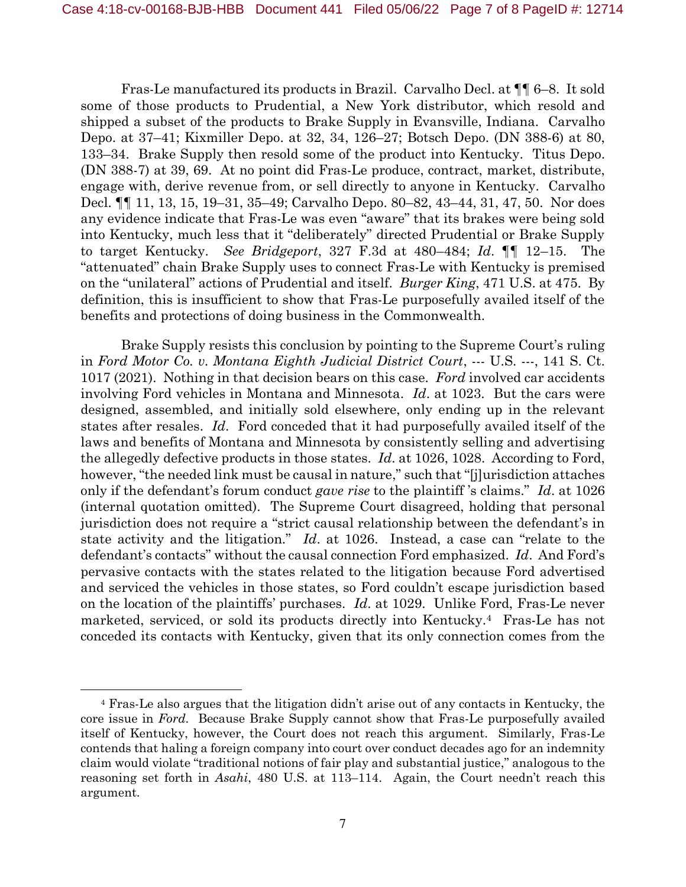Fras-Le manufactured its products in Brazil. Carvalho Decl. at ¶¶ 6–8. It sold some of those products to Prudential, a New York distributor, which resold and shipped a subset of the products to Brake Supply in Evansville, Indiana. Carvalho Depo. at 37–41; Kixmiller Depo. at 32, 34, 126–27; Botsch Depo. (DN 388-6) at 80, 133–34. Brake Supply then resold some of the product into Kentucky. Titus Depo. (DN 388-7) at 39, 69. At no point did Fras-Le produce, contract, market, distribute, engage with, derive revenue from, or sell directly to anyone in Kentucky. Carvalho Decl. ¶¶ 11, 13, 15, 19–31, 35–49; Carvalho Depo. 80–82, 43–44, 31, 47, 50. Nor does any evidence indicate that Fras-Le was even "aware" that its brakes were being sold into Kentucky, much less that it "deliberately" directed Prudential or Brake Supply to target Kentucky. *See Bridgeport*, 327 F.3d at 480–484; *Id*. ¶¶ 12–15. The "attenuated" chain Brake Supply uses to connect Fras-Le with Kentucky is premised on the "unilateral" actions of Prudential and itself. *Burger King*, 471 U.S. at 475. By definition, this is insufficient to show that Fras-Le purposefully availed itself of the benefits and protections of doing business in the Commonwealth.

Brake Supply resists this conclusion by pointing to the Supreme Court's ruling in *Ford Motor Co. v. Montana Eighth Judicial District Court*, --- U.S. ---, 141 S. Ct. 1017 (2021). Nothing in that decision bears on this case. *Ford* involved car accidents involving Ford vehicles in Montana and Minnesota. *Id*. at 1023. But the cars were designed, assembled, and initially sold elsewhere, only ending up in the relevant states after resales. *Id*. Ford conceded that it had purposefully availed itself of the laws and benefits of Montana and Minnesota by consistently selling and advertising the allegedly defective products in those states. *Id*. at 1026, 1028. According to Ford, however, "the needed link must be causal in nature," such that "[j]urisdiction attaches only if the defendant's forum conduct *gave rise* to the plaintiff 's claims." *Id*. at 1026 (internal quotation omitted). The Supreme Court disagreed, holding that personal jurisdiction does not require a "strict causal relationship between the defendant's in state activity and the litigation." *Id*. at 1026. Instead, a case can "relate to the defendant's contacts" without the causal connection Ford emphasized. *Id*. And Ford's pervasive contacts with the states related to the litigation because Ford advertised and serviced the vehicles in those states, so Ford couldn't escape jurisdiction based on the location of the plaintiffs' purchases. *Id*. at 1029. Unlike Ford, Fras-Le never marketed, serviced, or sold its products directly into Kentucky.4 Fras-Le has not conceded its contacts with Kentucky, given that its only connection comes from the

<sup>4</sup> Fras-Le also argues that the litigation didn't arise out of any contacts in Kentucky, the core issue in *Ford*. Because Brake Supply cannot show that Fras-Le purposefully availed itself of Kentucky, however, the Court does not reach this argument. Similarly, Fras-Le contends that haling a foreign company into court over conduct decades ago for an indemnity claim would violate "traditional notions of fair play and substantial justice," analogous to the reasoning set forth in *Asahi*, 480 U.S. at 113–114. Again, the Court needn't reach this argument.